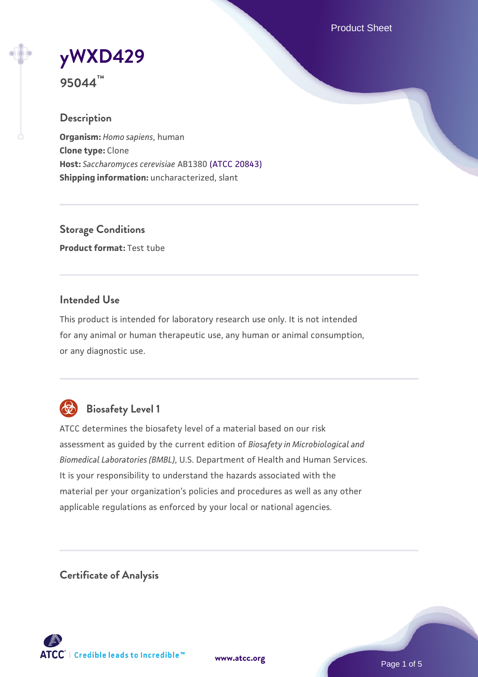Product Sheet

# **[yWXD429](https://www.atcc.org/products/95044)**

**95044™**

#### **Description**

**Organism:** *Homo sapiens*, human **Clone type:** Clone **Host:** *Saccharomyces cerevisiae* AB1380 [\(ATCC 20843\)](https://www.atcc.org/products/20843) **Shipping information:** uncharacterized, slant

**Storage Conditions Product format:** Test tube

#### **Intended Use**

This product is intended for laboratory research use only. It is not intended for any animal or human therapeutic use, any human or animal consumption, or any diagnostic use.



### **Biosafety Level 1**

ATCC determines the biosafety level of a material based on our risk assessment as guided by the current edition of *Biosafety in Microbiological and Biomedical Laboratories (BMBL)*, U.S. Department of Health and Human Services. It is your responsibility to understand the hazards associated with the material per your organization's policies and procedures as well as any other applicable regulations as enforced by your local or national agencies.

**Certificate of Analysis**

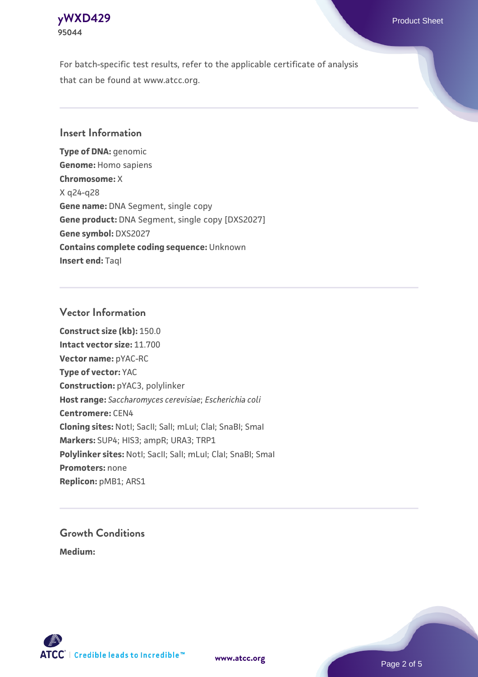

For batch-specific test results, refer to the applicable certificate of analysis that can be found at www.atcc.org.

#### **Insert Information**

**Type of DNA:** genomic **Genome:** Homo sapiens **Chromosome:** X X q24-q28 **Gene name:** DNA Segment, single copy **Gene product:** DNA Segment, single copy [DXS2027] **Gene symbol:** DXS2027 **Contains complete coding sequence:** Unknown **Insert end: Tagl** 

#### **Vector Information**

**Construct size (kb):** 150.0 **Intact vector size:** 11.700 **Vector name:** pYAC-RC **Type of vector:** YAC **Construction:** pYAC3, polylinker **Host range:** *Saccharomyces cerevisiae*; *Escherichia coli* **Centromere:** CEN4 **Cloning sites:** NotI; SacII; SalI; mLuI; ClaI; SnaBI; SmaI **Markers:** SUP4; HIS3; ampR; URA3; TRP1 Polylinker sites: Notl; SacII; SalI; mLuI; ClaI; SnaBI; SmaI **Promoters:** none **Replicon:** pMB1; ARS1

## **Growth Conditions**

**Medium:** 



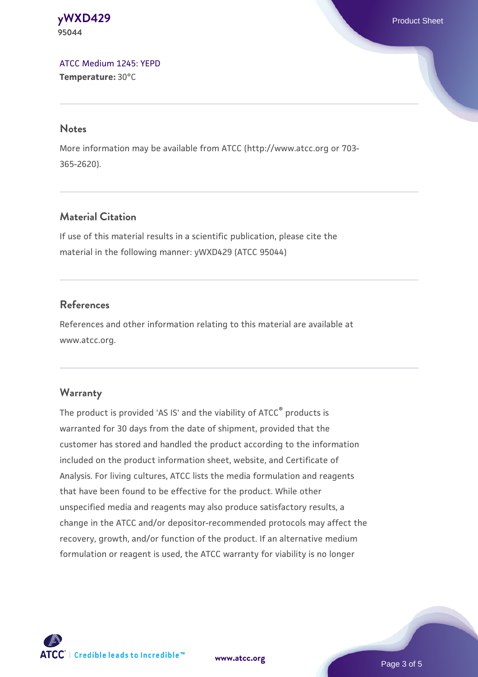**[yWXD429](https://www.atcc.org/products/95044)** Product Sheet **95044**

[ATCC Medium 1245: YEPD](https://www.atcc.org/-/media/product-assets/documents/microbial-media-formulations/1/2/4/5/atcc-medium-1245.pdf?rev=705ca55d1b6f490a808a965d5c072196) **Temperature:** 30°C

#### **Notes**

More information may be available from ATCC (http://www.atcc.org or 703- 365-2620).

#### **Material Citation**

If use of this material results in a scientific publication, please cite the material in the following manner: yWXD429 (ATCC 95044)

#### **References**

References and other information relating to this material are available at www.atcc.org.

#### **Warranty**

The product is provided 'AS IS' and the viability of ATCC® products is warranted for 30 days from the date of shipment, provided that the customer has stored and handled the product according to the information included on the product information sheet, website, and Certificate of Analysis. For living cultures, ATCC lists the media formulation and reagents that have been found to be effective for the product. While other unspecified media and reagents may also produce satisfactory results, a change in the ATCC and/or depositor-recommended protocols may affect the recovery, growth, and/or function of the product. If an alternative medium formulation or reagent is used, the ATCC warranty for viability is no longer



**[www.atcc.org](http://www.atcc.org)**

Page 3 of 5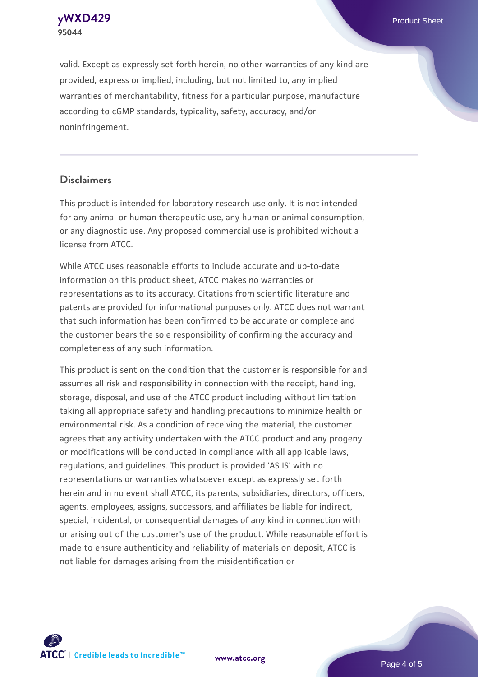**[yWXD429](https://www.atcc.org/products/95044)** Product Sheet **95044**

valid. Except as expressly set forth herein, no other warranties of any kind are provided, express or implied, including, but not limited to, any implied warranties of merchantability, fitness for a particular purpose, manufacture according to cGMP standards, typicality, safety, accuracy, and/or noninfringement.

#### **Disclaimers**

This product is intended for laboratory research use only. It is not intended for any animal or human therapeutic use, any human or animal consumption, or any diagnostic use. Any proposed commercial use is prohibited without a license from ATCC.

While ATCC uses reasonable efforts to include accurate and up-to-date information on this product sheet, ATCC makes no warranties or representations as to its accuracy. Citations from scientific literature and patents are provided for informational purposes only. ATCC does not warrant that such information has been confirmed to be accurate or complete and the customer bears the sole responsibility of confirming the accuracy and completeness of any such information.

This product is sent on the condition that the customer is responsible for and assumes all risk and responsibility in connection with the receipt, handling, storage, disposal, and use of the ATCC product including without limitation taking all appropriate safety and handling precautions to minimize health or environmental risk. As a condition of receiving the material, the customer agrees that any activity undertaken with the ATCC product and any progeny or modifications will be conducted in compliance with all applicable laws, regulations, and guidelines. This product is provided 'AS IS' with no representations or warranties whatsoever except as expressly set forth herein and in no event shall ATCC, its parents, subsidiaries, directors, officers, agents, employees, assigns, successors, and affiliates be liable for indirect, special, incidental, or consequential damages of any kind in connection with or arising out of the customer's use of the product. While reasonable effort is made to ensure authenticity and reliability of materials on deposit, ATCC is not liable for damages arising from the misidentification or



**[www.atcc.org](http://www.atcc.org)**

Page 4 of 5